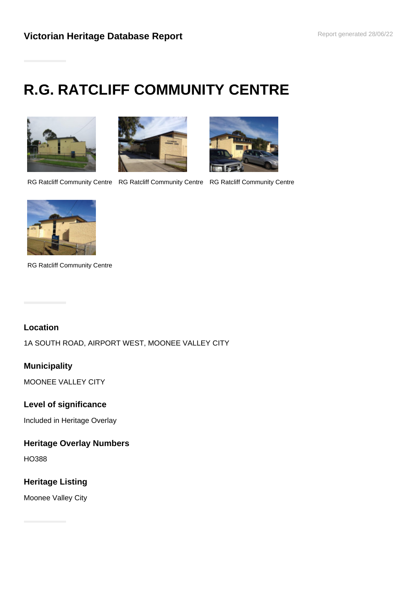# **R.G. RATCLIFF COMMUNITY CENTRE**







RG Ratcliff Community Centre RG Ratcliff Community Centre RG Ratcliff Community Centre



RG Ratcliff Community Centre

## **Location**

1A SOUTH ROAD, AIRPORT WEST, MOONEE VALLEY CITY

## **Municipality**

MOONEE VALLEY CITY

## **Level of significance**

Included in Heritage Overlay

# **Heritage Overlay Numbers**

HO388

## **Heritage Listing**

Moonee Valley City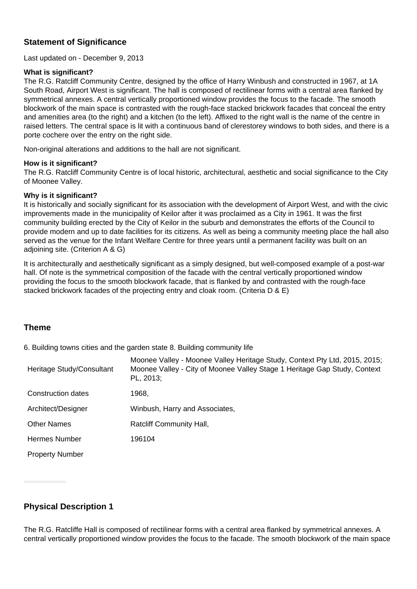#### **Statement of Significance**

Last updated on - December 9, 2013

#### **What is significant?**

The R.G. Ratcliff Community Centre, designed by the office of Harry Winbush and constructed in 1967, at 1A South Road, Airport West is significant. The hall is composed of rectilinear forms with a central area flanked by symmetrical annexes. A central vertically proportioned window provides the focus to the facade. The smooth blockwork of the main space is contrasted with the rough-face stacked brickwork facades that conceal the entry and amenities area (to the right) and a kitchen (to the left). Affixed to the right wall is the name of the centre in raised letters. The central space is lit with a continuous band of clerestorey windows to both sides, and there is a porte cochere over the entry on the right side.

Non-original alterations and additions to the hall are not significant.

#### **How is it significant?**

The R.G. Ratcliff Community Centre is of local historic, architectural, aesthetic and social significance to the City of Moonee Valley.

#### **Why is it significant?**

It is historically and socially significant for its association with the development of Airport West, and with the civic improvements made in the municipality of Keilor after it was proclaimed as a City in 1961. It was the first community building erected by the City of Keilor in the suburb and demonstrates the efforts of the Council to provide modern and up to date facilities for its citizens. As well as being a community meeting place the hall also served as the venue for the Infant Welfare Centre for three years until a permanent facility was built on an adjoining site. (Criterion A & G)

It is architecturally and aesthetically significant as a simply designed, but well-composed example of a post-war hall. Of note is the symmetrical composition of the facade with the central vertically proportioned window providing the focus to the smooth blockwork facade, that is flanked by and contrasted with the rough-face stacked brickwork facades of the projecting entry and cloak room. (Criteria D & E)

#### **Theme**

6. Building towns cities and the garden state 8. Building community life

| Heritage Study/Consultant | Moonee Valley - Moonee Valley Heritage Study, Context Pty Ltd, 2015, 2015;<br>Moonee Valley - City of Moonee Valley Stage 1 Heritage Gap Study, Context<br>PL, 2013; |
|---------------------------|----------------------------------------------------------------------------------------------------------------------------------------------------------------------|
| Construction dates        | 1968,                                                                                                                                                                |
| Architect/Designer        | Winbush, Harry and Associates,                                                                                                                                       |
| <b>Other Names</b>        | Ratcliff Community Hall,                                                                                                                                             |
| Hermes Number             | 196104                                                                                                                                                               |
| <b>Property Number</b>    |                                                                                                                                                                      |

## **Physical Description 1**

The R.G. Ratcliffe Hall is composed of rectilinear forms with a central area flanked by symmetrical annexes. A central vertically proportioned window provides the focus to the facade. The smooth blockwork of the main space